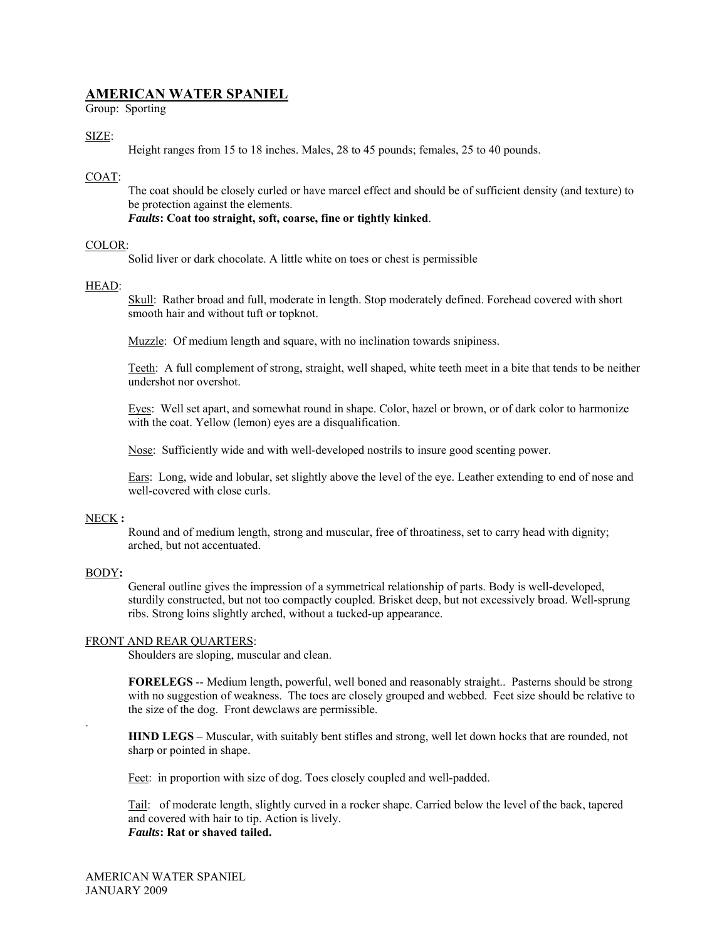# **AMERICAN WATER SPANIEL**

Group: Sporting

#### SIZE:

Height ranges from 15 to 18 inches. Males, 28 to 45 pounds; females, 25 to 40 pounds.

# COAT:

The coat should be closely curled or have marcel effect and should be of sufficient density (and texture) to be protection against the elements.

*Faults***: Coat too straight, soft, coarse, fine or tightly kinked**.

### COLOR:

Solid liver or dark chocolate. A little white on toes or chest is permissible

#### HEAD:

Skull: Rather broad and full, moderate in length. Stop moderately defined. Forehead covered with short smooth hair and without tuft or topknot.

Muzzle: Of medium length and square, with no inclination towards snipiness.

Teeth: A full complement of strong, straight, well shaped, white teeth meet in a bite that tends to be neither undershot nor overshot.

Eyes: Well set apart, and somewhat round in shape. Color, hazel or brown, or of dark color to harmonize with the coat. Yellow (lemon) eyes are a disqualification.

Nose: Sufficiently wide and with well-developed nostrils to insure good scenting power.

Ears: Long, wide and lobular, set slightly above the level of the eye. Leather extending to end of nose and well-covered with close curls.

#### NECK **:**

Round and of medium length, strong and muscular, free of throatiness, set to carry head with dignity; arched, but not accentuated.

#### BODY**:**

.

General outline gives the impression of a symmetrical relationship of parts. Body is well-developed, sturdily constructed, but not too compactly coupled. Brisket deep, but not excessively broad. Well-sprung ribs. Strong loins slightly arched, without a tucked-up appearance.

#### FRONT AND REAR QUARTERS:

Shoulders are sloping, muscular and clean.

**FORELEGS** -- Medium length, powerful, well boned and reasonably straight.. Pasterns should be strong with no suggestion of weakness. The toes are closely grouped and webbed. Feet size should be relative to the size of the dog. Front dewclaws are permissible.

**HIND LEGS** – Muscular, with suitably bent stifles and strong, well let down hocks that are rounded, not sharp or pointed in shape.

Feet: in proportion with size of dog. Toes closely coupled and well-padded.

Tail: of moderate length, slightly curved in a rocker shape. Carried below the level of the back, tapered and covered with hair to tip. Action is lively. *Faults***: Rat or shaved tailed.**